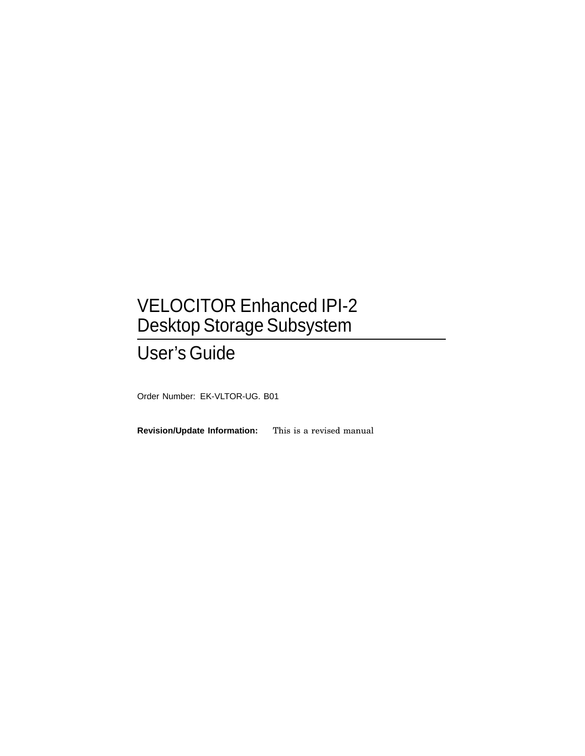## VELOCITOR Enhanced IPI-2 Desktop Storage Subsystem

## User's Guide

Order Number: EK-VLTOR-UG. B01

**Revision/Update Information:** This is a revised manual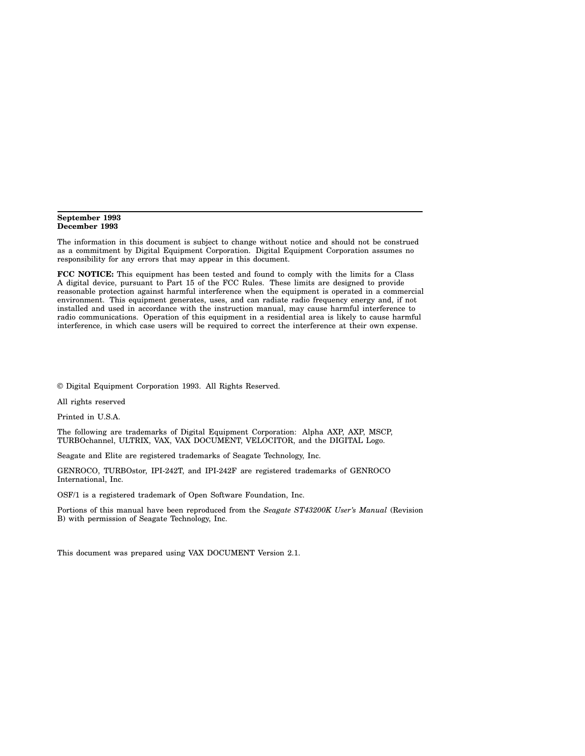#### **September 1993 December 1993**

The information in this document is subject to change without notice and should not be construed as a commitment by Digital Equipment Corporation. Digital Equipment Corporation assumes no responsibility for any errors that may appear in this document.

**FCC NOTICE:** This equipment has been tested and found to comply with the limits for a Class A digital device, pursuant to Part 15 of the FCC Rules. These limits are designed to provide reasonable protection against harmful interference when the equipment is operated in a commercial environment. This equipment generates, uses, and can radiate radio frequency energy and, if not installed and used in accordance with the instruction manual, may cause harmful interference to radio communications. Operation of this equipment in a residential area is likely to cause harmful interference, in which case users will be required to correct the interference at their own expense.

© Digital Equipment Corporation 1993. All Rights Reserved.

All rights reserved

Printed in U.S.A.

The following are trademarks of Digital Equipment Corporation: Alpha AXP, AXP, MSCP, TURBOchannel, ULTRIX, VAX, VAX DOCUMENT, VELOCITOR, and the DIGITAL Logo.

Seagate and Elite are registered trademarks of Seagate Technology, Inc.

GENROCO, TURBOstor, IPI-242T, and IPI-242F are registered trademarks of GENROCO International, Inc.

OSF/1 is a registered trademark of Open Software Foundation, Inc.

Portions of this manual have been reproduced from the *Seagate ST43200K User's Manual* (Revision B) with permission of Seagate Technology, Inc.

This document was prepared using VAX DOCUMENT Version 2.1.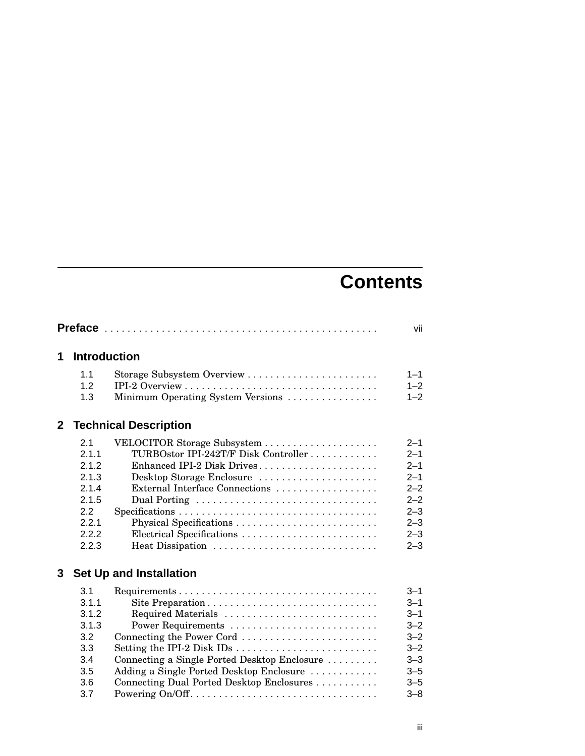## **Contents**

|                |                                                                                    |                                                                                                                                                                                                                                                                                                | vii                                                                                                        |
|----------------|------------------------------------------------------------------------------------|------------------------------------------------------------------------------------------------------------------------------------------------------------------------------------------------------------------------------------------------------------------------------------------------|------------------------------------------------------------------------------------------------------------|
| 1              | <b>Introduction</b>                                                                |                                                                                                                                                                                                                                                                                                |                                                                                                            |
|                | 1.1<br>1.2<br>1.3                                                                  | Minimum Operating System Versions                                                                                                                                                                                                                                                              | $1 - 1$<br>$1 - 2$<br>$1 - 2$                                                                              |
| 2 <sup>1</sup> |                                                                                    | <b>Technical Description</b>                                                                                                                                                                                                                                                                   |                                                                                                            |
|                | 2.1<br>2.1.1<br>2.1.2<br>2.1.3<br>2.1.4<br>2.1.5<br>2.2<br>2.2.1<br>2.2.2<br>2.2.3 | TURBOstor IPI-242T/F Disk Controller<br>Enhanced IPI-2 Disk Drives<br>Desktop Storage Enclosure<br>External Interface Connections<br>Electrical Specifications<br>Heat Dissipation                                                                                                             | $2 - 1$<br>$2 - 1$<br>$2 - 1$<br>$2 - 1$<br>$2 - 2$<br>$2 - 2$<br>$2 - 3$<br>$2 - 3$<br>$2 - 3$<br>$2 - 3$ |
| 3              |                                                                                    | <b>Set Up and Installation</b>                                                                                                                                                                                                                                                                 |                                                                                                            |
|                | 3.1<br>3.1.1<br>3.1.2<br>3.1.3<br>3.2<br>3.3<br>3.4<br>3.5<br>3.6<br>3.7           | Required Materials<br>Power Requirements<br>Connecting the Power Cord<br>Setting the IPI-2 Disk IDs $\dots \dots \dots \dots \dots \dots \dots \dots$<br>Connecting a Single Ported Desktop Enclosure<br>Adding a Single Ported Desktop Enclosure<br>Connecting Dual Ported Desktop Enclosures | $3 - 1$<br>$3 - 1$<br>$3 - 1$<br>$3 - 2$<br>$3 - 2$<br>$3 - 2$<br>$3 - 3$<br>$3 - 5$<br>$3 - 5$<br>$3 - 8$ |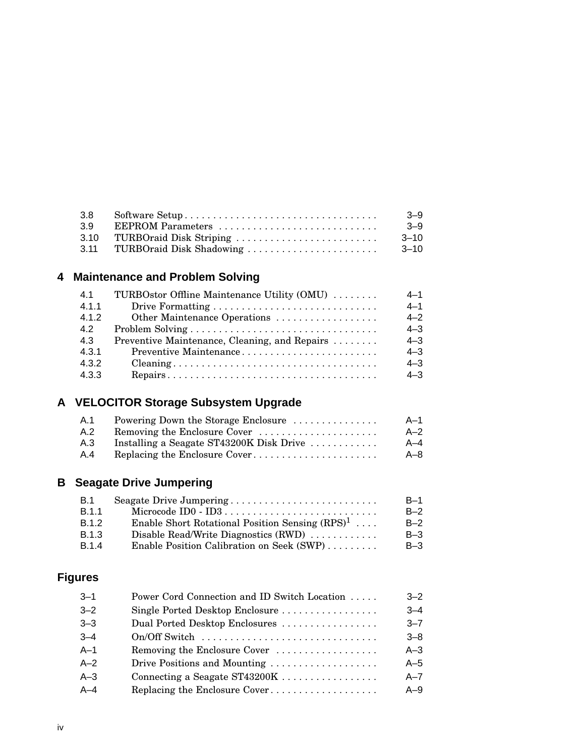| 3.8 |                               | $-9$      |
|-----|-------------------------------|-----------|
| 39  | EEPROM Parameters             | $-9$      |
|     | 3.10 TURBOraid Disk Striping  | $-3 - 10$ |
|     | 3.11 TURBOraid Disk Shadowing | $3 - 10$  |

| 41    | TURBOstor Offline Maintenance Utility (OMU)   | $4 - 1$ |
|-------|-----------------------------------------------|---------|
| 4.1.1 |                                               | $4 - 1$ |
| 4.1.2 | Other Maintenance Operations                  | $4 - 2$ |
| 42    |                                               | $4 - 3$ |
| 4.3   | Preventive Maintenance, Cleaning, and Repairs | $4 - 3$ |
| 4.3.1 | Preventive Maintenance                        | $4 - 3$ |
| 4.3.2 |                                               | $4 - 3$ |
| 4.3.3 |                                               | $4 - 3$ |

## **A VELOCITOR Storage Subsystem Upgrade**

| .A.1 | Powering Down the Storage Enclosure                             | – A–1   |
|------|-----------------------------------------------------------------|---------|
| A.2  | Removing the Enclosure Cover                                    | $A-2$   |
| A.3  | Installing a Seagate ST43200K Disk Drive $\ldots \ldots \ldots$ | A–4     |
| A.4  |                                                                 | $A - 8$ |

## **B Seagate Drive Jumpering**

| <b>B.1</b>   | Seagate Drive Jumpering                            | $B-1$ |
|--------------|----------------------------------------------------|-------|
| <b>B.1.1</b> |                                                    | $B-2$ |
| B.1.2        | Enable Short Rotational Position Sensing $(RPS)^1$ | $B-2$ |
| B.1.3        | Disable Read/Write Diagnostics (RWD)               | $B-3$ |
| <b>B.1.4</b> | Enable Position Calibration on Seek (SWP)          | $B-3$ |

## **Figures**

| $3 - 1$ | Power Cord Connection and ID Switch Location | $3 - 2$ |
|---------|----------------------------------------------|---------|
| $3 - 2$ | Single Ported Desktop Enclosure              | $3 - 4$ |
| $3 - 3$ | Dual Ported Desktop Enclosures               | $3 - 7$ |
| $3 - 4$ | On/Off Switch                                | $3 - 8$ |
| $A-1$   | Removing the Enclosure Cover                 | $A-3$   |
| A–2     | Drive Positions and Mounting                 | $A-5$   |
| A–3     | Connecting a Seagate ST43200K                | $A - 7$ |
| $A - 4$ | Replacing the Enclosure Cover                | $A-9$   |
|         |                                              |         |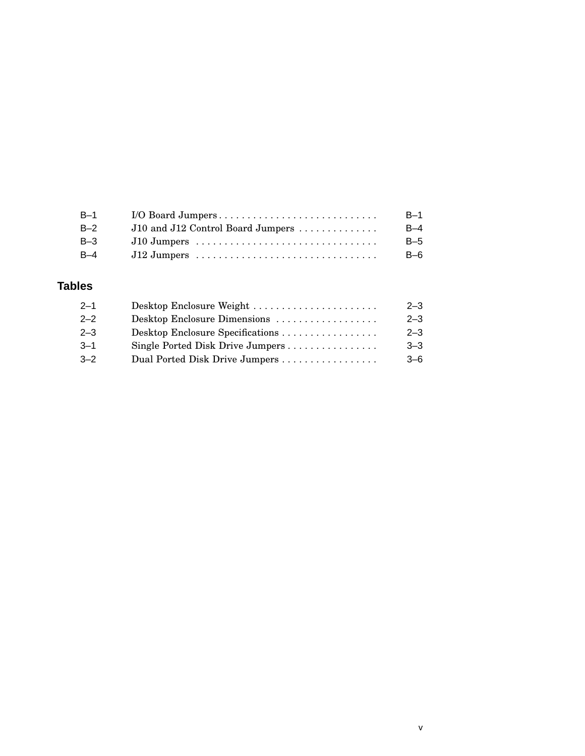| $B-1$ | I/O Board Jumpers                 | $B-1$ |
|-------|-----------------------------------|-------|
| $B-2$ | J10 and J12 Control Board Jumpers | $B-4$ |
| $B-3$ | $J10$ Jumpers                     | $B-5$ |
| B-4   |                                   | $B-6$ |

## **Tables**

| $2 - 3$ |
|---------|
| $2 - 3$ |
| $3 - 3$ |
| $3 - 6$ |
|         |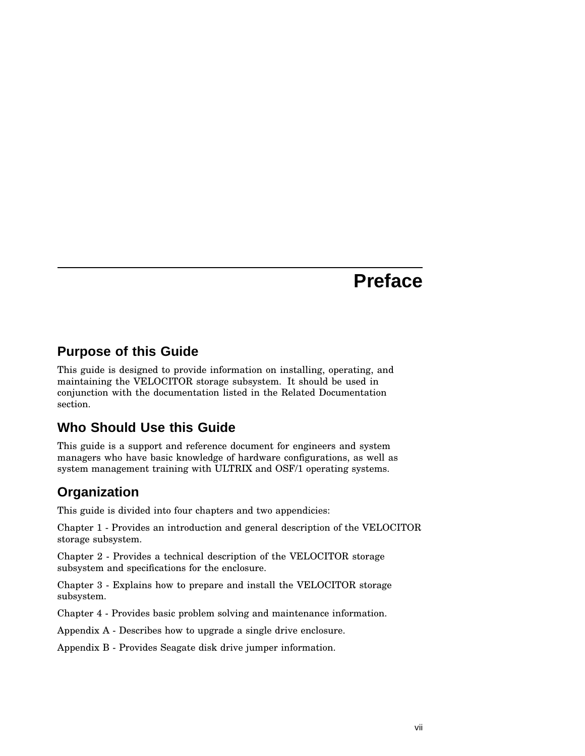## **Preface**

## **Purpose of this Guide**

This guide is designed to provide information on installing, operating, and maintaining the VELOCITOR storage subsystem. It should be used in conjunction with the documentation listed in the Related Documentation section.

## **Who Should Use this Guide**

This guide is a support and reference document for engineers and system managers who have basic knowledge of hardware configurations, as well as system management training with ULTRIX and OSF/1 operating systems.

## **Organization**

This guide is divided into four chapters and two appendicies:

Chapter 1 - Provides an introduction and general description of the VELOCITOR storage subsystem.

Chapter 2 - Provides a technical description of the VELOCITOR storage subsystem and specifications for the enclosure.

Chapter 3 - Explains how to prepare and install the VELOCITOR storage subsystem.

Chapter 4 - Provides basic problem solving and maintenance information.

Appendix A - Describes how to upgrade a single drive enclosure.

Appendix B - Provides Seagate disk drive jumper information.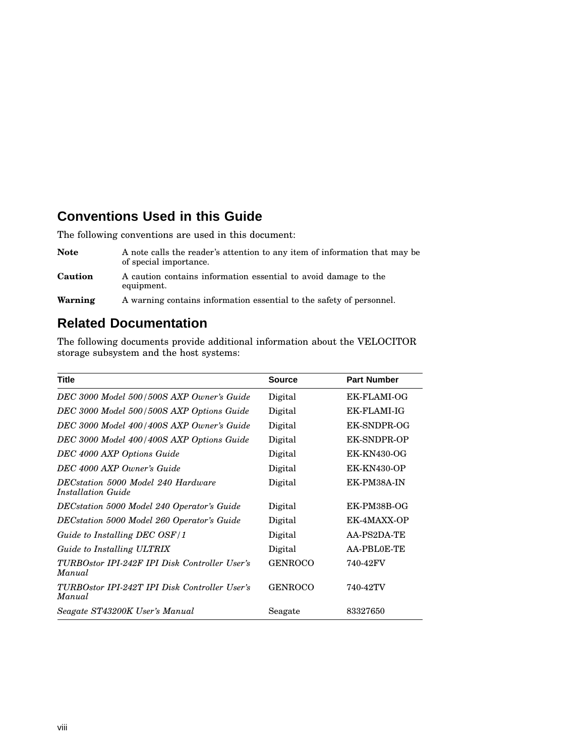## **Conventions Used in this Guide**

The following conventions are used in this document:

| <b>Note</b> | A note calls the reader's attention to any item of information that may be<br>of special importance. |
|-------------|------------------------------------------------------------------------------------------------------|
| Caution     | A caution contains information essential to avoid damage to the<br>equipment.                        |
| Warning     | A warning contains information essential to the safety of personnel.                                 |

## **Related Documentation**

The following documents provide additional information about the VELOCITOR storage subsystem and the host systems:

| <b>Title</b>                                                    | <b>Source</b>  | <b>Part Number</b> |
|-----------------------------------------------------------------|----------------|--------------------|
| DEC 3000 Model 500/500S AXP Owner's Guide                       | Digital        | EK-FLAMI-OG        |
| DEC 3000 Model 500/500S AXP Options Guide                       | Digital        | EK-FLAMI-IG        |
| DEC 3000 Model 400/400S AXP Owner's Guide                       | Digital        | EK-SNDPR-OG        |
| DEC 3000 Model 400/400S AXP Options Guide                       | Digital        | <b>EK-SNDPR-OP</b> |
| DEC 4000 AXP Options Guide                                      | Digital        | <b>EK-KN430-OG</b> |
| DEC 4000 AXP Owner's Guide                                      | Digital        | <b>EK-KN430-OP</b> |
| DECstation 5000 Model 240 Hardware<br><i>Installation Guide</i> | Digital        | EK-PM38A-IN        |
| DECstation 5000 Model 240 Operator's Guide                      | Digital        | EK-PM38B-OG        |
| DECstation 5000 Model 260 Operator's Guide                      | Digital        | EK-4MAXX-OP        |
| Guide to Installing DEC OSF/1                                   | Digital        | AA-PS2DA-TE        |
| Guide to Installing ULTRIX                                      | Digital        | AA-PBL0E-TE        |
| TURBOstor IPI-242F IPI Disk Controller User's<br>Manual         | <b>GENROCO</b> | 740-42FV           |
| TURBOstor IPI-242T IPI Disk Controller User's<br>Manual         | <b>GENROCO</b> | 740-42TV           |
| Seagate ST43200K User's Manual                                  | Seagate        | 83327650           |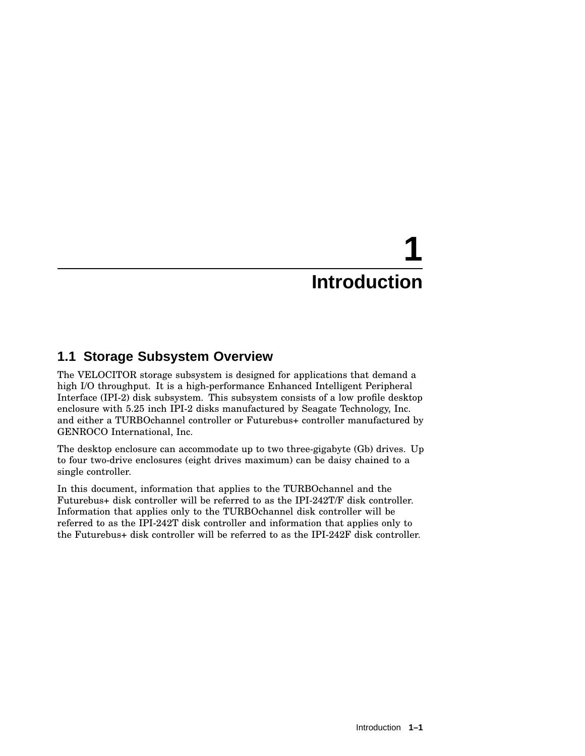# **1 Introduction**

## **1.1 Storage Subsystem Overview**

The VELOCITOR storage subsystem is designed for applications that demand a high I/O throughput. It is a high-performance Enhanced Intelligent Peripheral Interface (IPI-2) disk subsystem. This subsystem consists of a low profile desktop enclosure with 5.25 inch IPI-2 disks manufactured by Seagate Technology, Inc. and either a TURBOchannel controller or Futurebus+ controller manufactured by GENROCO International, Inc.

The desktop enclosure can accommodate up to two three-gigabyte (Gb) drives. Up to four two-drive enclosures (eight drives maximum) can be daisy chained to a single controller.

In this document, information that applies to the TURBOchannel and the Futurebus+ disk controller will be referred to as the IPI-242T/F disk controller. Information that applies only to the TURBOchannel disk controller will be referred to as the IPI-242T disk controller and information that applies only to the Futurebus+ disk controller will be referred to as the IPI-242F disk controller.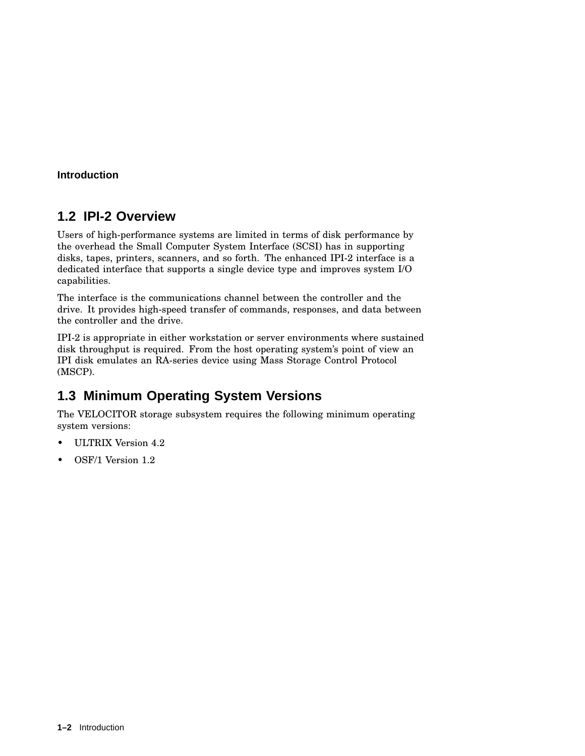#### **Introduction**

## **1.2 IPI-2 Overview**

Users of high-performance systems are limited in terms of disk performance by the overhead the Small Computer System Interface (SCSI) has in supporting disks, tapes, printers, scanners, and so forth. The enhanced IPI-2 interface is a dedicated interface that supports a single device type and improves system I/O capabilities.

The interface is the communications channel between the controller and the drive. It provides high-speed transfer of commands, responses, and data between the controller and the drive.

IPI-2 is appropriate in either workstation or server environments where sustained disk throughput is required. From the host operating system's point of view an IPI disk emulates an RA-series device using Mass Storage Control Protocol (MSCP).

## **1.3 Minimum Operating System Versions**

The VELOCITOR storage subsystem requires the following minimum operating system versions:

- ULTRIX Version 4.2
- OSF/1 Version 1.2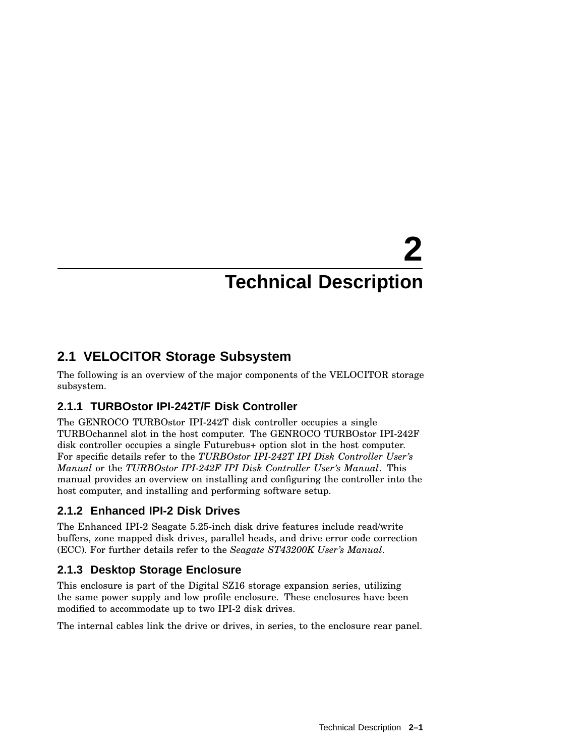# **2 Technical Description**

## **2.1 VELOCITOR Storage Subsystem**

The following is an overview of the major components of the VELOCITOR storage subsystem.

## **2.1.1 TURBOstor IPI-242T/F Disk Controller**

The GENROCO TURBOstor IPI-242T disk controller occupies a single TURBOchannel slot in the host computer. The GENROCO TURBOstor IPI-242F disk controller occupies a single Futurebus+ option slot in the host computer. For specific details refer to the *TURBOstor IPI-242T IPI Disk Controller User's Manual* or the *TURBOstor IPI-242F IPI Disk Controller User's Manual*. This manual provides an overview on installing and configuring the controller into the host computer, and installing and performing software setup.

## **2.1.2 Enhanced IPI-2 Disk Drives**

The Enhanced IPI-2 Seagate 5.25-inch disk drive features include read/write buffers, zone mapped disk drives, parallel heads, and drive error code correction (ECC). For further details refer to the *Seagate ST43200K User's Manual*.

## **2.1.3 Desktop Storage Enclosure**

This enclosure is part of the Digital SZ16 storage expansion series, utilizing the same power supply and low profile enclosure. These enclosures have been modified to accommodate up to two IPI-2 disk drives.

The internal cables link the drive or drives, in series, to the enclosure rear panel.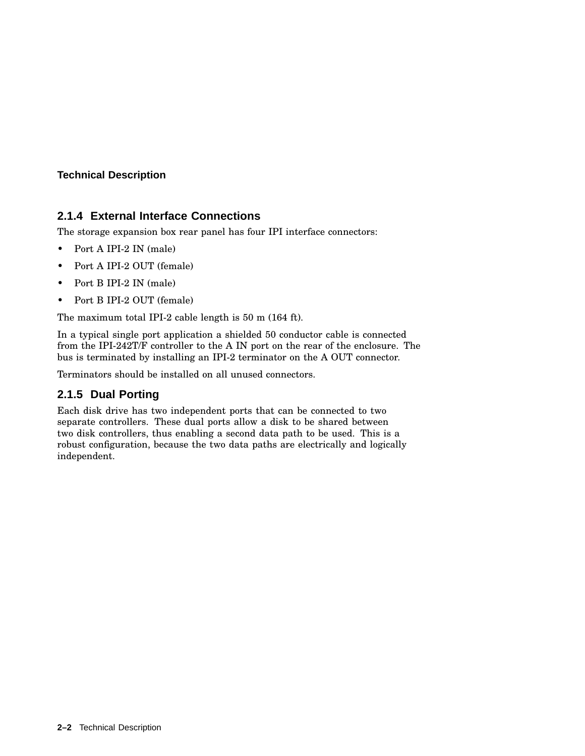#### **Technical Description**

#### **2.1.4 External Interface Connections**

The storage expansion box rear panel has four IPI interface connectors:

- Port A IPI-2 IN (male)
- Port A IPI-2 OUT (female)
- Port B IPI-2 IN (male)
- Port B IPI-2 OUT (female)

The maximum total IPI-2 cable length is 50 m (164 ft).

In a typical single port application a shielded 50 conductor cable is connected from the IPI-242T/F controller to the A IN port on the rear of the enclosure. The bus is terminated by installing an IPI-2 terminator on the A OUT connector.

Terminators should be installed on all unused connectors.

## **2.1.5 Dual Porting**

Each disk drive has two independent ports that can be connected to two separate controllers. These dual ports allow a disk to be shared between two disk controllers, thus enabling a second data path to be used. This is a robust configuration, because the two data paths are electrically and logically independent.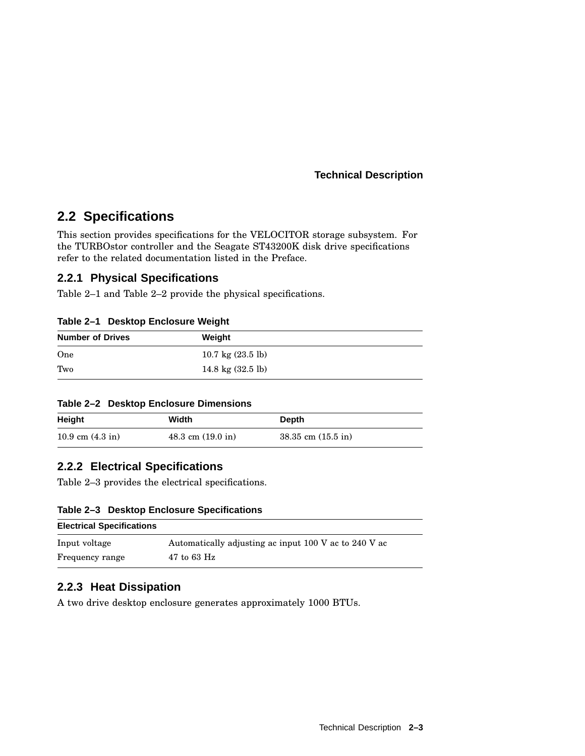**Technical Description**

## **2.2 Specifications**

This section provides specifications for the VELOCITOR storage subsystem. For the TURBOstor controller and the Seagate ST43200K disk drive specifications refer to the related documentation listed in the Preface.

#### **2.2.1 Physical Specifications**

Table 2–1 and Table 2–2 provide the physical specifications.

| Table 2-1 Desktop Enclosure Weight |  |  |  |
|------------------------------------|--|--|--|
|------------------------------------|--|--|--|

| <b>Number of Drives</b> | Weight                      |
|-------------------------|-----------------------------|
| One                     | 10.7 kg $(23.5 \text{ lb})$ |
| Two                     | 14.8 kg $(32.5 \text{ lb})$ |

#### **Table 2–2 Desktop Enclosure Dimensions**

| Height                     | Width                         | <b>Depth</b>           |
|----------------------------|-------------------------------|------------------------|
| 10.9 cm $(4.3 \text{ in})$ | $48.3$ cm $(19.0 \text{ in})$ | $38.35$ cm $(15.5$ in) |

## **2.2.2 Electrical Specifications**

Table 2–3 provides the electrical specifications.

#### **Table 2–3 Desktop Enclosure Specifications**

| <b>Electrical Specifications</b> |                                                       |
|----------------------------------|-------------------------------------------------------|
| Input voltage                    | Automatically adjusting ac input 100 V ac to 240 V ac |
| Frequency range                  | $47$ to 63 Hz                                         |

## **2.2.3 Heat Dissipation**

A two drive desktop enclosure generates approximately 1000 BTUs.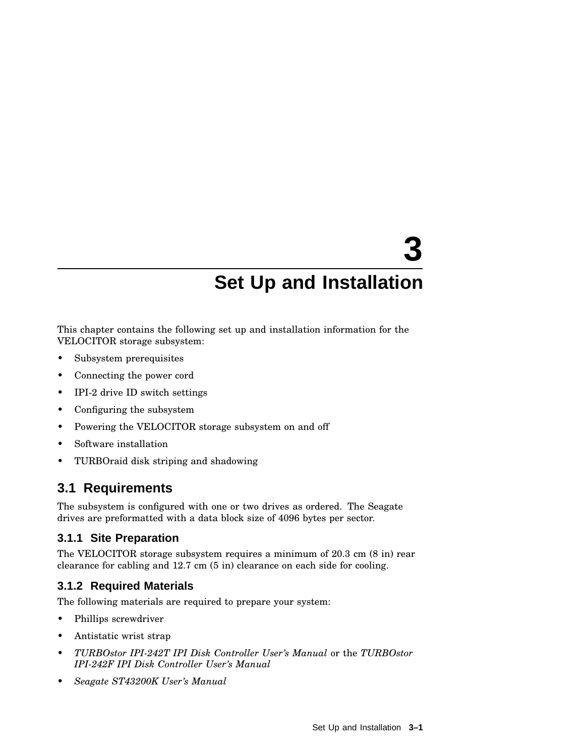This chapter contains the following set up and installation information for the VELOCITOR storage subsystem:

- Subsystem prerequisites
- Connecting the power cord
- IPI-2 drive ID switch settings
- Configuring the subsystem
- Powering the VELOCITOR storage subsystem on and off
- Software installation
- TURBOraid disk striping and shadowing

## **3.1 Requirements**

The subsystem is configured with one or two drives as ordered. The Seagate drives are preformatted with a data block size of 4096 bytes per sector.

## **3.1.1 Site Preparation**

The VELOCITOR storage subsystem requires a minimum of 20.3 cm (8 in) rear clearance for cabling and 12.7 cm (5 in) clearance on each side for cooling.

## **3.1.2 Required Materials**

The following materials are required to prepare your system:

- Phillips screwdriver
- Antistatic wrist strap
- *TURBOstor IPI-242T IPI Disk Controller User's Manual* or the *TURBOstor IPI-242F IPI Disk Controller User's Manual*
- *Seagate ST43200K User's Manual*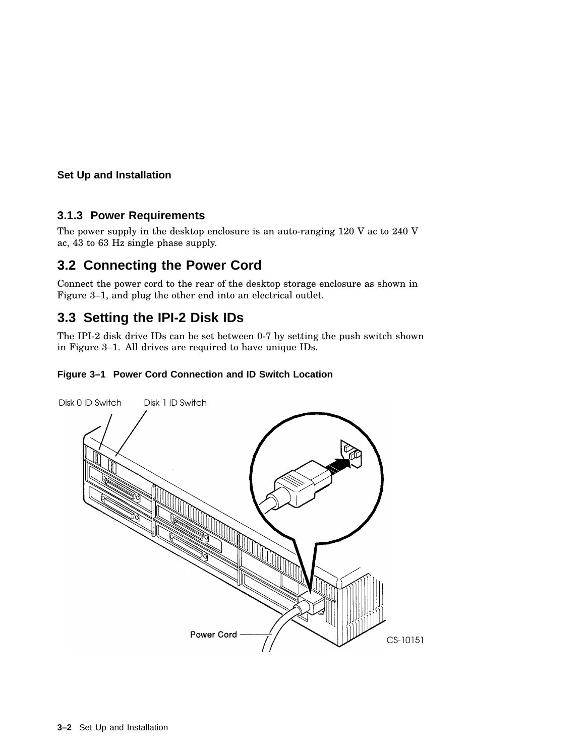#### **3.1.3 Power Requirements**

The power supply in the desktop enclosure is an auto-ranging 120 V ac to 240 V ac, 43 to 63 Hz single phase supply.

## **3.2 Connecting the Power Cord**

Connect the power cord to the rear of the desktop storage enclosure as shown in Figure 3–1, and plug the other end into an electrical outlet.

## **3.3 Setting the IPI-2 Disk IDs**

The IPI-2 disk drive IDs can be set between 0-7 by setting the push switch shown in Figure 3–1. All drives are required to have unique IDs.

#### **Figure 3–1 Power Cord Connection and ID Switch Location**

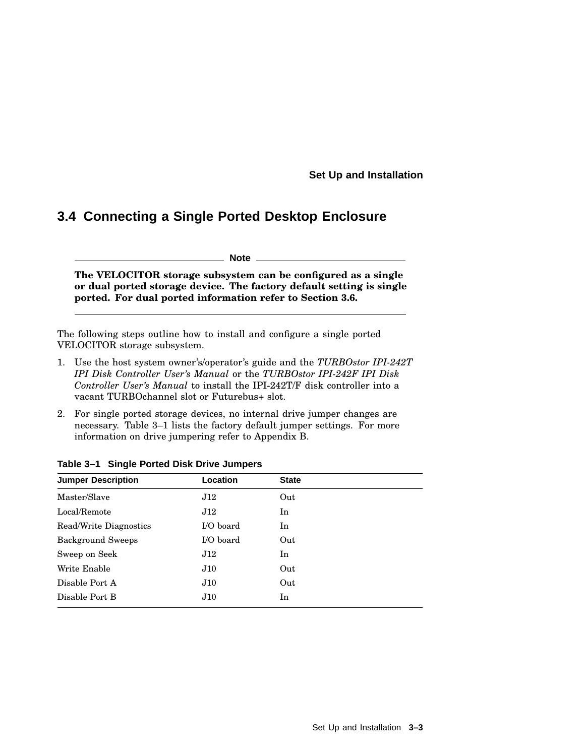## **3.4 Connecting a Single Ported Desktop Enclosure**

**Note**

**The VELOCITOR storage subsystem can be configured as a single or dual ported storage device. The factory default setting is single ported. For dual ported information refer to Section 3.6.**

The following steps outline how to install and configure a single ported VELOCITOR storage subsystem.

- 1. Use the host system owner's/operator's guide and the *TURBOstor IPI-242T IPI Disk Controller User's Manual* or the *TURBOstor IPI-242F IPI Disk Controller User's Manual* to install the IPI-242T/F disk controller into a vacant TURBOchannel slot or Futurebus+ slot.
- 2. For single ported storage devices, no internal drive jumper changes are necessary. Table 3–1 lists the factory default jumper settings. For more information on drive jumpering refer to Appendix B.

| <b>Jumper Description</b> | Location    | <b>State</b> |  |
|---------------------------|-------------|--------------|--|
| Master/Slave              | J12         | Out          |  |
| Local/Remote              | J12         | In           |  |
| Read/Write Diagnostics    | $I/O$ board | In           |  |
| <b>Background Sweeps</b>  | $I/O$ board | Out          |  |
| Sweep on Seek             | J12         | In           |  |
| Write Enable              | J10         | Out          |  |
| Disable Port A            | J10         | Out          |  |
| Disable Port B            | J10         | In           |  |

**Table 3–1 Single Ported Disk Drive Jumpers**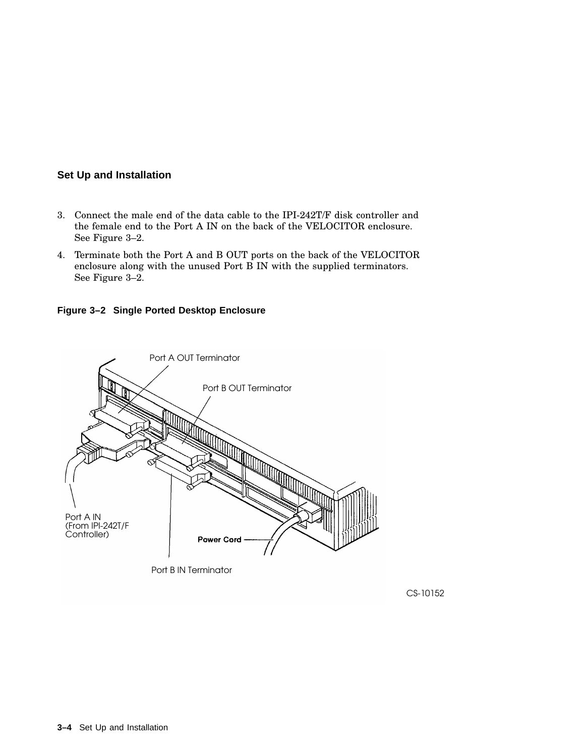- 3. Connect the male end of the data cable to the IPI-242T/F disk controller and the female end to the Port A IN on the back of the VELOCITOR enclosure. See Figure 3–2.
- 4. Terminate both the Port A and B OUT ports on the back of the VELOCITOR enclosure along with the unused Port B IN with the supplied terminators. See Figure 3–2.

**Figure 3–2 Single Ported Desktop Enclosure**



CS-10152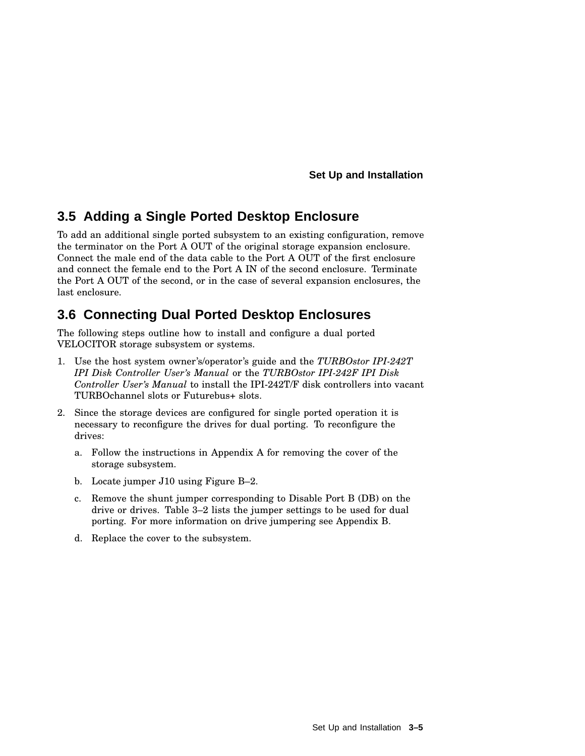## **3.5 Adding a Single Ported Desktop Enclosure**

To add an additional single ported subsystem to an existing configuration, remove the terminator on the Port A OUT of the original storage expansion enclosure. Connect the male end of the data cable to the Port A OUT of the first enclosure and connect the female end to the Port A IN of the second enclosure. Terminate the Port A OUT of the second, or in the case of several expansion enclosures, the last enclosure.

## **3.6 Connecting Dual Ported Desktop Enclosures**

The following steps outline how to install and configure a dual ported VELOCITOR storage subsystem or systems.

- 1. Use the host system owner's/operator's guide and the *TURBOstor IPI-242T IPI Disk Controller User's Manual* or the *TURBOstor IPI-242F IPI Disk Controller User's Manual* to install the IPI-242T/F disk controllers into vacant TURBOchannel slots or Futurebus+ slots.
- 2. Since the storage devices are configured for single ported operation it is necessary to reconfigure the drives for dual porting. To reconfigure the drives:
	- a. Follow the instructions in Appendix A for removing the cover of the storage subsystem.
	- b. Locate jumper J10 using Figure B–2.
	- c. Remove the shunt jumper corresponding to Disable Port B (DB) on the drive or drives. Table 3–2 lists the jumper settings to be used for dual porting. For more information on drive jumpering see Appendix B.
	- d. Replace the cover to the subsystem.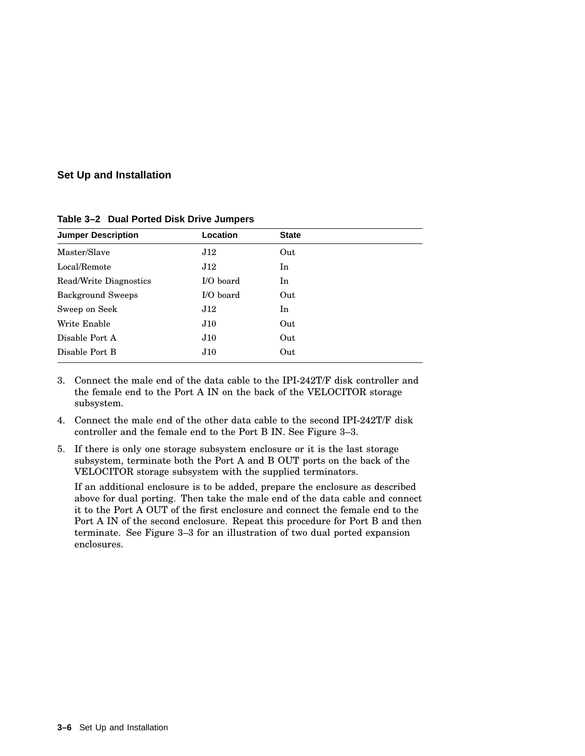| <b>Jumper Description</b> | Location  | <b>State</b> |
|---------------------------|-----------|--------------|
| Master/Slave              | J12       | Out          |
| Local/Remote              | J12       | In           |
| Read/Write Diagnostics    | I/O board | In           |
| <b>Background Sweeps</b>  | I/O board | Out          |
| Sweep on Seek             | J12       | In           |
| Write Enable              | J10       | Out          |
| Disable Port A            | J10       | Out          |
| Disable Port B            | J10       | Out          |

**Table 3–2 Dual Ported Disk Drive Jumpers**

- 3. Connect the male end of the data cable to the IPI-242T/F disk controller and the female end to the Port A IN on the back of the VELOCITOR storage subsystem.
- 4. Connect the male end of the other data cable to the second IPI-242T/F disk controller and the female end to the Port B IN. See Figure 3–3.
- 5. If there is only one storage subsystem enclosure or it is the last storage subsystem, terminate both the Port A and B OUT ports on the back of the VELOCITOR storage subsystem with the supplied terminators.

If an additional enclosure is to be added, prepare the enclosure as described above for dual porting. Then take the male end of the data cable and connect it to the Port A OUT of the first enclosure and connect the female end to the Port A IN of the second enclosure. Repeat this procedure for Port B and then terminate. See Figure 3–3 for an illustration of two dual ported expansion enclosures.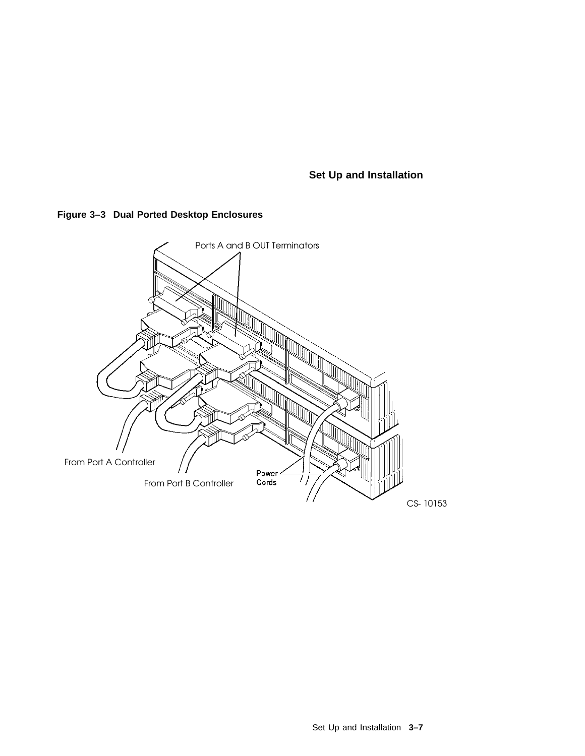

#### **Figure 3–3 Dual Ported Desktop Enclosures**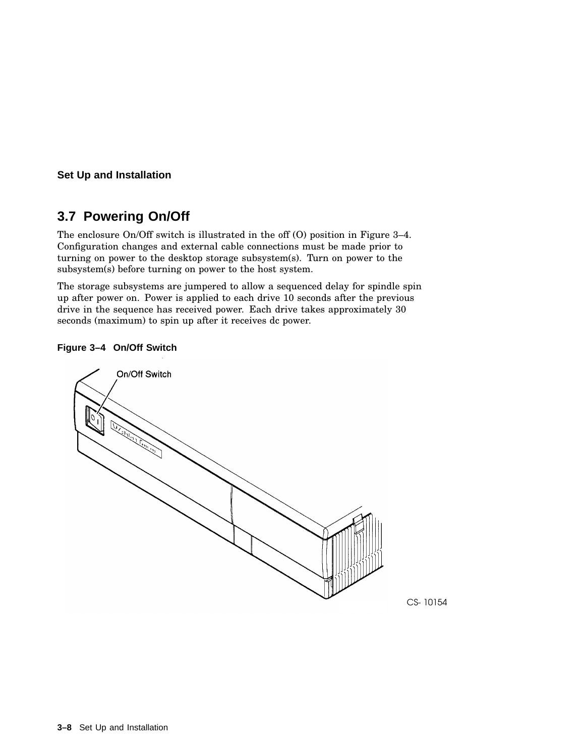## **3.7 Powering On/Off**

The enclosure On/Off switch is illustrated in the off (O) position in Figure 3–4. Configuration changes and external cable connections must be made prior to turning on power to the desktop storage subsystem(s). Turn on power to the subsystem(s) before turning on power to the host system.

The storage subsystems are jumpered to allow a sequenced delay for spindle spin up after power on. Power is applied to each drive 10 seconds after the previous drive in the sequence has received power. Each drive takes approximately 30 seconds (maximum) to spin up after it receives dc power.

#### **Figure 3–4 On/Off Switch**



CS-10154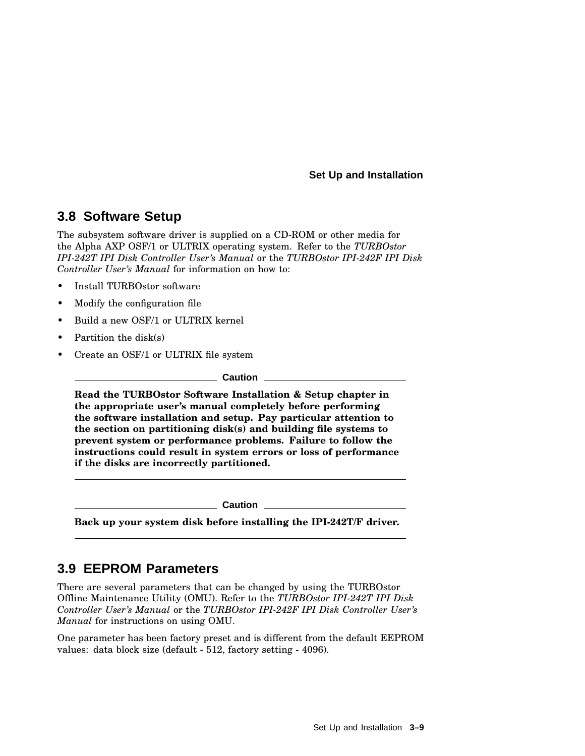## **3.8 Software Setup**

The subsystem software driver is supplied on a CD-ROM or other media for the Alpha AXP OSF/1 or ULTRIX operating system. Refer to the *TURBOstor IPI-242T IPI Disk Controller User's Manual* or the *TURBOstor IPI-242F IPI Disk Controller User's Manual* for information on how to:

- Install TURBOstor software
- Modify the configuration file
- Build a new OSF/1 or ULTRIX kernel
- Partition the disk(s)
- Create an OSF/1 or ULTRIX file system

**Caution**

**Read the TURBOstor Software Installation & Setup chapter in the appropriate user's manual completely before performing the software installation and setup. Pay particular attention to the section on partitioning disk(s) and building file systems to prevent system or performance problems. Failure to follow the instructions could result in system errors or loss of performance if the disks are incorrectly partitioned.**

**Caution**

**Back up your system disk before installing the IPI-242T/F driver.**

## **3.9 EEPROM Parameters**

There are several parameters that can be changed by using the TURBOstor Offline Maintenance Utility (OMU). Refer to the *TURBOstor IPI-242T IPI Disk Controller User's Manual* or the *TURBOstor IPI-242F IPI Disk Controller User's Manual* for instructions on using OMU.

One parameter has been factory preset and is different from the default EEPROM values: data block size (default - 512, factory setting - 4096).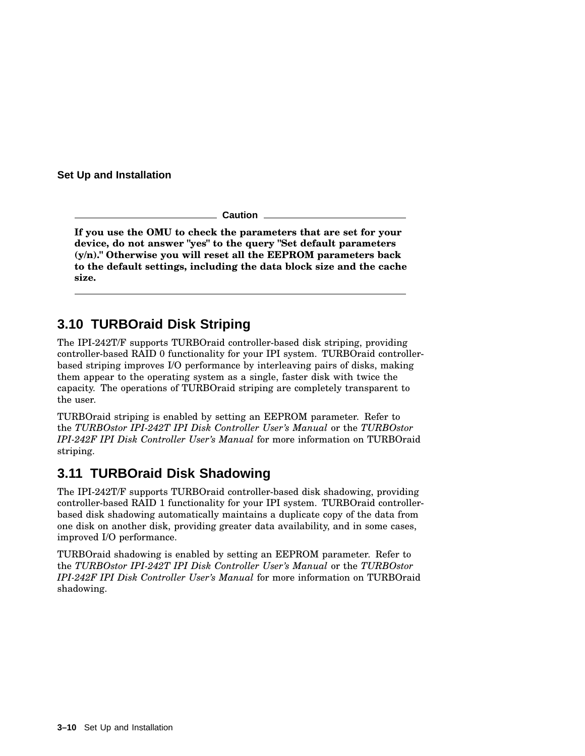**Caution**

**If you use the OMU to check the parameters that are set for your device, do not answer "yes" to the query "Set default parameters (y/n)." Otherwise you will reset all the EEPROM parameters back to the default settings, including the data block size and the cache size.**

## **3.10 TURBOraid Disk Striping**

The IPI-242T/F supports TURBOraid controller-based disk striping, providing controller-based RAID 0 functionality for your IPI system. TURBOraid controllerbased striping improves I/O performance by interleaving pairs of disks, making them appear to the operating system as a single, faster disk with twice the capacity. The operations of TURBOraid striping are completely transparent to the user.

TURBOraid striping is enabled by setting an EEPROM parameter. Refer to the *TURBOstor IPI-242T IPI Disk Controller User's Manual* or the *TURBOstor IPI-242F IPI Disk Controller User's Manual* for more information on TURBOraid striping.

## **3.11 TURBOraid Disk Shadowing**

The IPI-242T/F supports TURBOraid controller-based disk shadowing, providing controller-based RAID 1 functionality for your IPI system. TURBOraid controllerbased disk shadowing automatically maintains a duplicate copy of the data from one disk on another disk, providing greater data availability, and in some cases, improved I/O performance.

TURBOraid shadowing is enabled by setting an EEPROM parameter. Refer to the *TURBOstor IPI-242T IPI Disk Controller User's Manual* or the *TURBOstor IPI-242F IPI Disk Controller User's Manual* for more information on TURBOraid shadowing.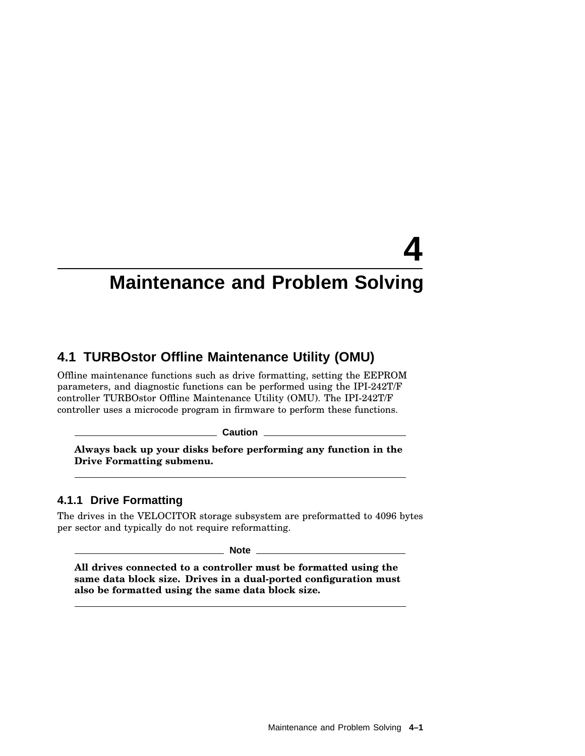## **4.1 TURBOstor Offline Maintenance Utility (OMU)**

Offline maintenance functions such as drive formatting, setting the EEPROM parameters, and diagnostic functions can be performed using the IPI-242T/F controller TURBOstor Offline Maintenance Utility (OMU). The IPI-242T/F controller uses a microcode program in firmware to perform these functions.

**Caution**

**Always back up your disks before performing any function in the Drive Formatting submenu.**

#### **4.1.1 Drive Formatting**

The drives in the VELOCITOR storage subsystem are preformatted to 4096 bytes per sector and typically do not require reformatting.

**Note**

**All drives connected to a controller must be formatted using the same data block size. Drives in a dual-ported configuration must also be formatted using the same data block size.**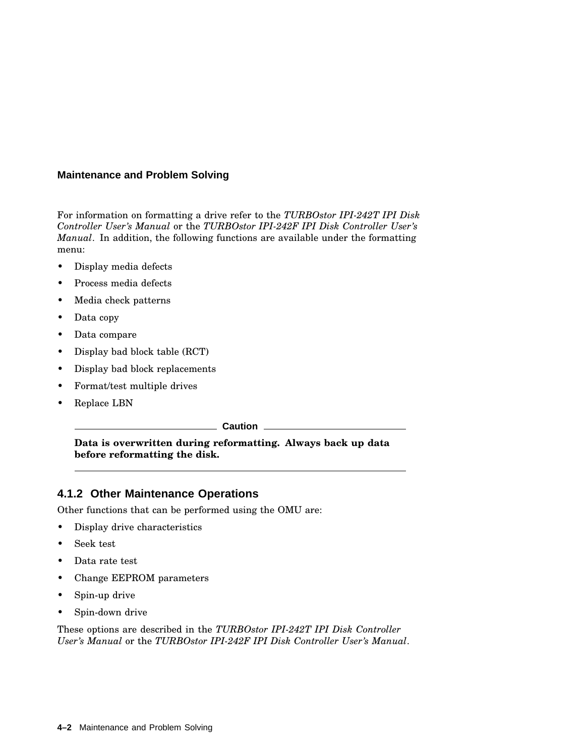For information on formatting a drive refer to the *TURBOstor IPI-242T IPI Disk Controller User's Manual* or the *TURBOstor IPI-242F IPI Disk Controller User's Manual*. In addition, the following functions are available under the formatting menu:

- Display media defects
- Process media defects
- Media check patterns
- Data copy
- Data compare
- Display bad block table (RCT)
- Display bad block replacements
- Format/test multiple drives
- Replace LBN

**Caution**

**Data is overwritten during reformatting. Always back up data before reformatting the disk.**

#### **4.1.2 Other Maintenance Operations**

Other functions that can be performed using the OMU are:

- Display drive characteristics
- Seek test
- Data rate test
- Change EEPROM parameters
- Spin-up drive
- Spin-down drive

These options are described in the *TURBOstor IPI-242T IPI Disk Controller User's Manual* or the *TURBOstor IPI-242F IPI Disk Controller User's Manual*.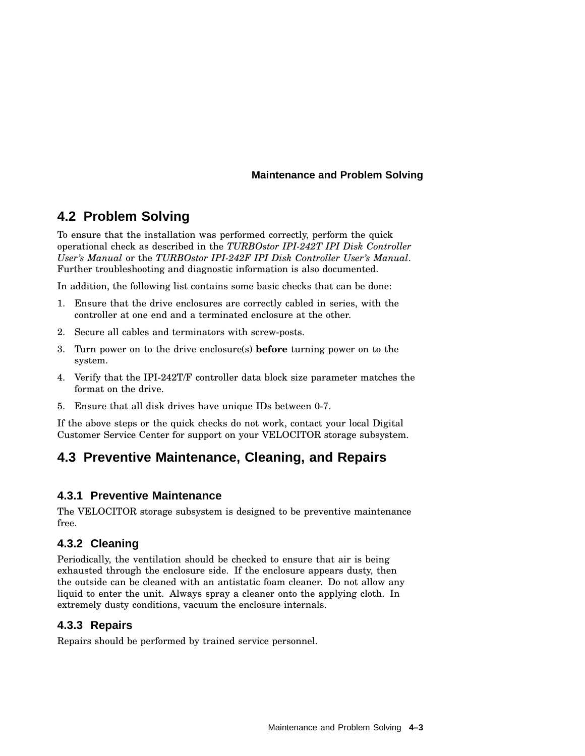## **4.2 Problem Solving**

To ensure that the installation was performed correctly, perform the quick operational check as described in the *TURBOstor IPI-242T IPI Disk Controller User's Manual* or the *TURBOstor IPI-242F IPI Disk Controller User's Manual*. Further troubleshooting and diagnostic information is also documented.

In addition, the following list contains some basic checks that can be done:

- 1. Ensure that the drive enclosures are correctly cabled in series, with the controller at one end and a terminated enclosure at the other.
- 2. Secure all cables and terminators with screw-posts.
- 3. Turn power on to the drive enclosure(s) **before** turning power on to the system.
- 4. Verify that the IPI-242T/F controller data block size parameter matches the format on the drive.
- 5. Ensure that all disk drives have unique IDs between 0-7.

If the above steps or the quick checks do not work, contact your local Digital Customer Service Center for support on your VELOCITOR storage subsystem.

## **4.3 Preventive Maintenance, Cleaning, and Repairs**

#### **4.3.1 Preventive Maintenance**

The VELOCITOR storage subsystem is designed to be preventive maintenance free.

#### **4.3.2 Cleaning**

Periodically, the ventilation should be checked to ensure that air is being exhausted through the enclosure side. If the enclosure appears dusty, then the outside can be cleaned with an antistatic foam cleaner. Do not allow any liquid to enter the unit. Always spray a cleaner onto the applying cloth. In extremely dusty conditions, vacuum the enclosure internals.

#### **4.3.3 Repairs**

Repairs should be performed by trained service personnel.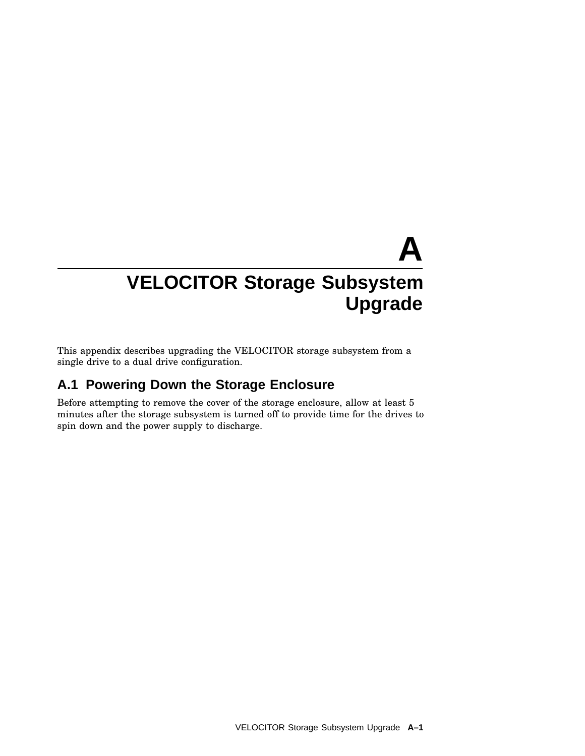This appendix describes upgrading the VELOCITOR storage subsystem from a single drive to a dual drive configuration.

## **A.1 Powering Down the Storage Enclosure**

Before attempting to remove the cover of the storage enclosure, allow at least 5 minutes after the storage subsystem is turned off to provide time for the drives to spin down and the power supply to discharge.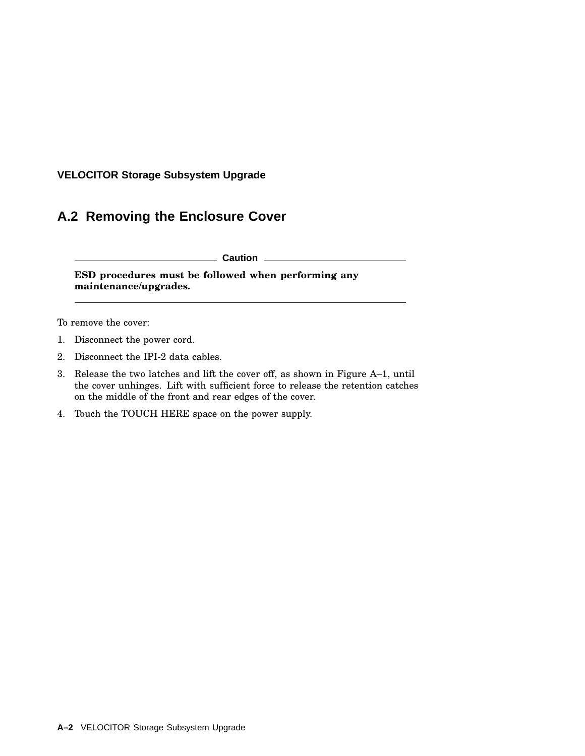## **A.2 Removing the Enclosure Cover**

**Caution**

**ESD procedures must be followed when performing any maintenance/upgrades.**

To remove the cover:

- 1. Disconnect the power cord.
- 2. Disconnect the IPI-2 data cables.
- 3. Release the two latches and lift the cover off, as shown in Figure A–1, until the cover unhinges. Lift with sufficient force to release the retention catches on the middle of the front and rear edges of the cover.
- 4. Touch the TOUCH HERE space on the power supply.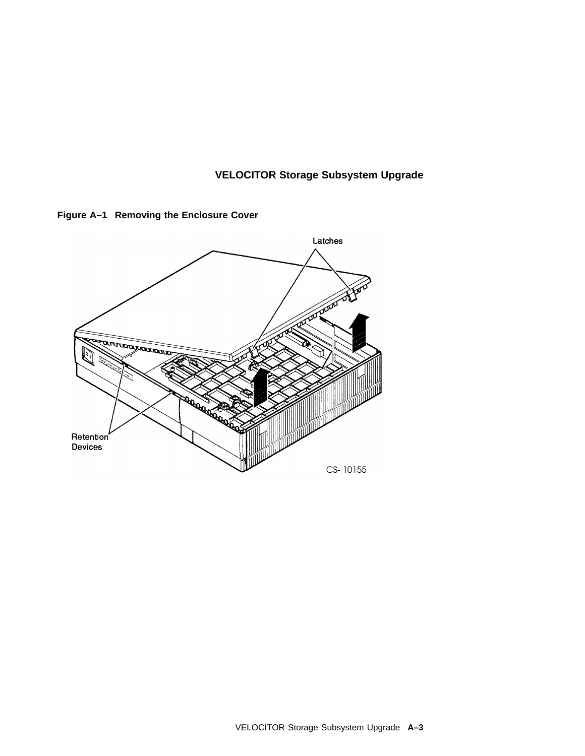**Figure A–1 Removing the Enclosure Cover**

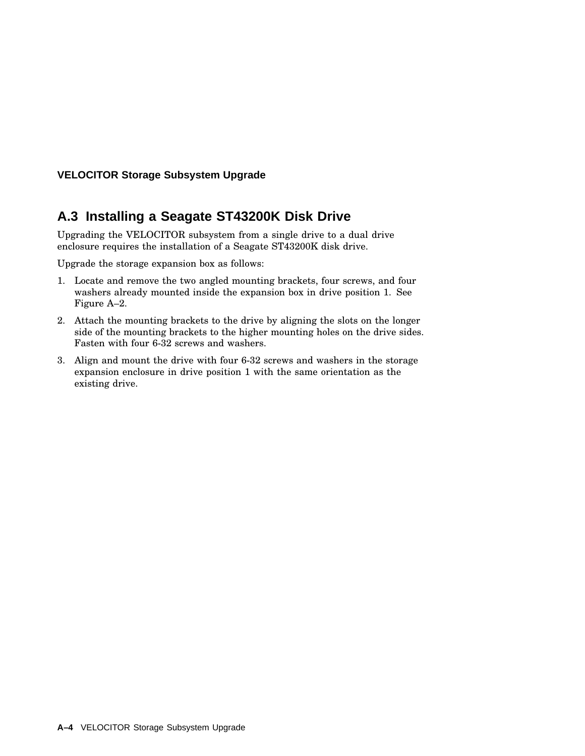## **A.3 Installing a Seagate ST43200K Disk Drive**

Upgrading the VELOCITOR subsystem from a single drive to a dual drive enclosure requires the installation of a Seagate ST43200K disk drive.

Upgrade the storage expansion box as follows:

- 1. Locate and remove the two angled mounting brackets, four screws, and four washers already mounted inside the expansion box in drive position 1. See Figure A–2.
- 2. Attach the mounting brackets to the drive by aligning the slots on the longer side of the mounting brackets to the higher mounting holes on the drive sides. Fasten with four 6-32 screws and washers.
- 3. Align and mount the drive with four 6-32 screws and washers in the storage expansion enclosure in drive position 1 with the same orientation as the existing drive.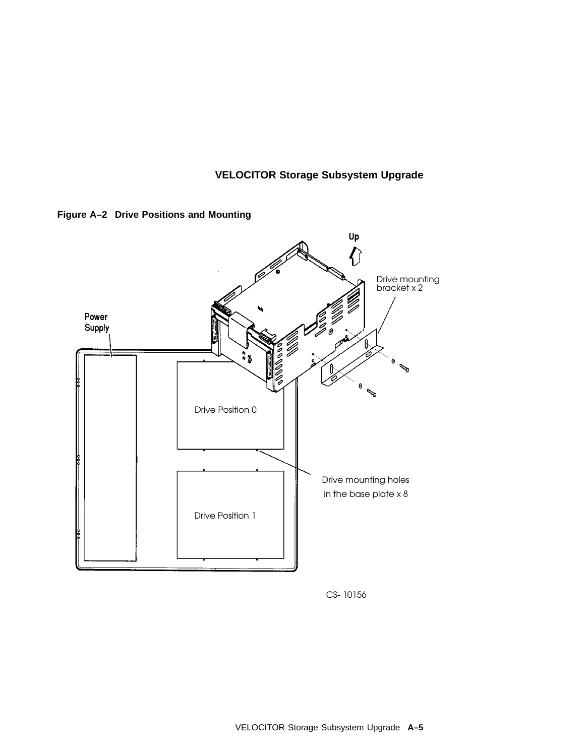



CS-10156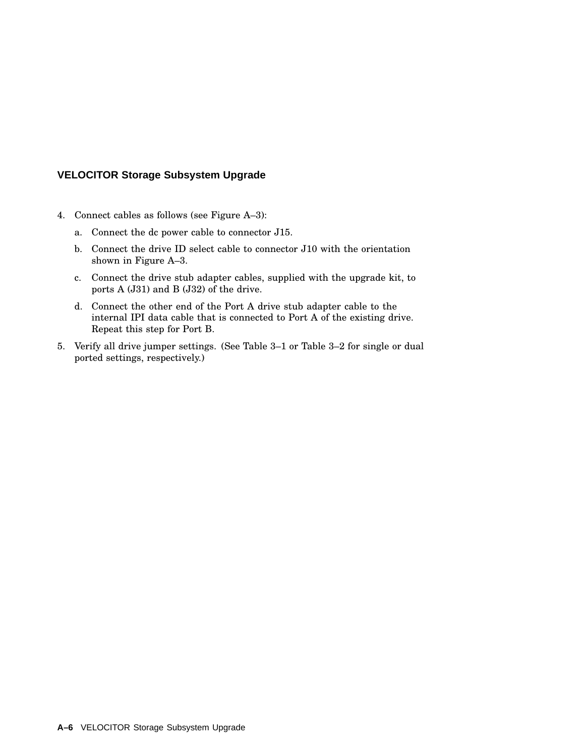- 4. Connect cables as follows (see Figure A–3):
	- a. Connect the dc power cable to connector J15.
	- b. Connect the drive ID select cable to connector J10 with the orientation shown in Figure A–3.
	- c. Connect the drive stub adapter cables, supplied with the upgrade kit, to ports A (J31) and B (J32) of the drive.
	- d. Connect the other end of the Port A drive stub adapter cable to the internal IPI data cable that is connected to Port A of the existing drive. Repeat this step for Port B.
- 5. Verify all drive jumper settings. (See Table 3–1 or Table 3–2 for single or dual ported settings, respectively.)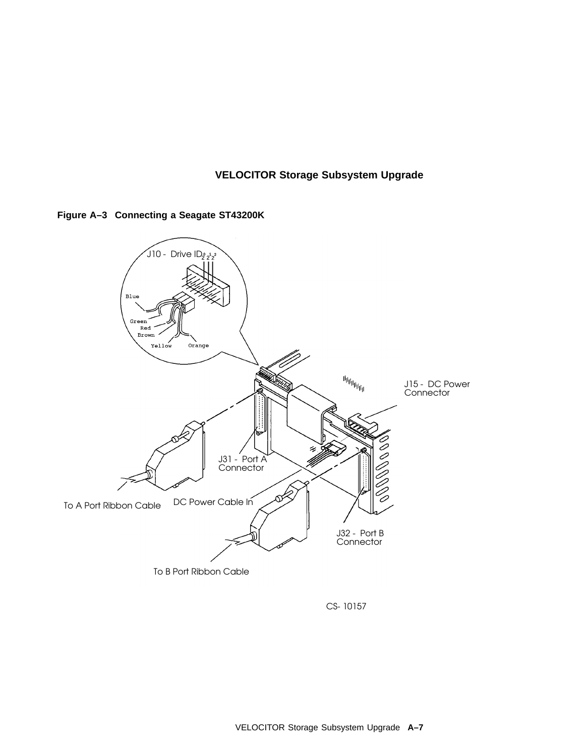



CS-10157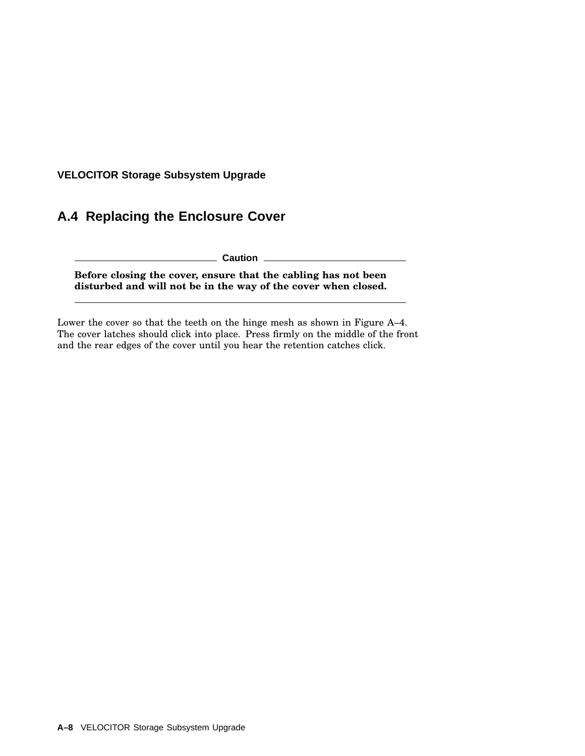## **A.4 Replacing the Enclosure Cover**

**Caution**

**Before closing the cover, ensure that the cabling has not been disturbed and will not be in the way of the cover when closed.**

Lower the cover so that the teeth on the hinge mesh as shown in Figure A–4. The cover latches should click into place. Press firmly on the middle of the front and the rear edges of the cover until you hear the retention catches click.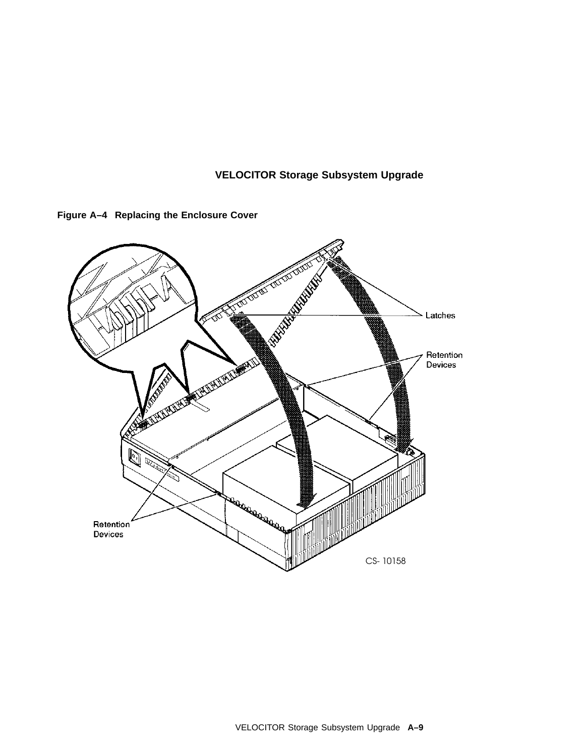

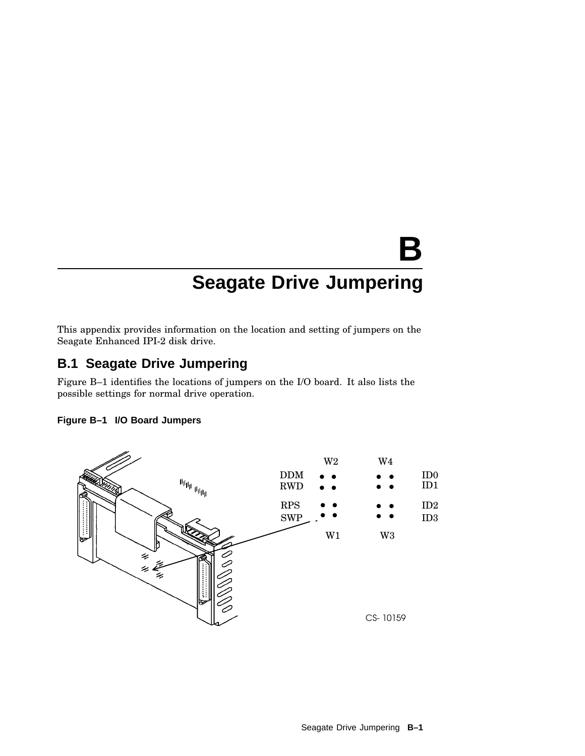This appendix provides information on the location and setting of jumpers on the Seagate Enhanced IPI-2 disk drive.

## **B.1 Seagate Drive Jumpering**

Figure B–1 identifies the locations of jumpers on the I/O board. It also lists the possible settings for normal drive operation.



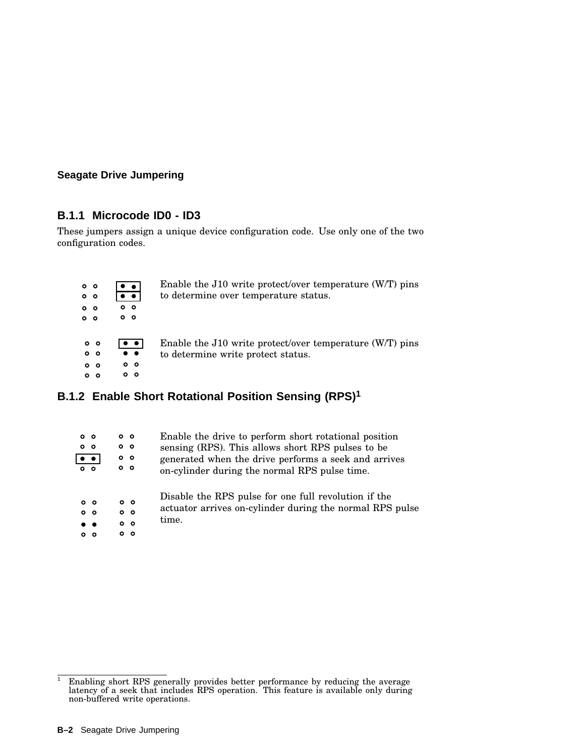#### **B.1.1 Microcode ID0 - ID3**

These jumpers assign a unique device configuration code. Use only one of the two configuration codes.

| 0 <sub>o</sub><br>0 <sub>o</sub><br>0 <sub>o</sub><br>0 <sub>o</sub> | . .<br>$\bullet$ $\bullet$ .<br>0 <sub>o</sub><br>0 <sub>o</sub>                                | Enable the $J10$ write protect/over temperature $(W/T)$ pins<br>to determine over temperature status. |
|----------------------------------------------------------------------|-------------------------------------------------------------------------------------------------|-------------------------------------------------------------------------------------------------------|
| 0 <sub>o</sub><br>0 <sub>o</sub><br>0 <sub>o</sub>                   | $\bullet$ $\bullet$<br>$\bullet\hspace{1mm}\bullet\hspace{1mm}$<br>0 <sub>o</sub><br>$^{\circ}$ | Enable the $J10$ write protect/over temperature (W/T) pins<br>to determine write protect status.      |

## **B.1.2 Enable Short Rotational Position Sensing (RPS)<sup>1</sup>**

| 0 <sub>o</sub> | 0 <sub>o</sub><br>$^{\circ}$                  | 0 <sub>o</sub><br>0 <sub>o</sub><br>0 <sub>o</sub><br>0 <sub>o</sub> | Enable the drive to perform short rotational position<br>sensing (RPS). This allows short RPS pulses to be<br>generated when the drive performs a seek and arrives<br>on-cylinder during the normal RPS pulse time. |
|----------------|-----------------------------------------------|----------------------------------------------------------------------|---------------------------------------------------------------------------------------------------------------------------------------------------------------------------------------------------------------------|
|                | 0 <sub>o</sub><br>0 <sub>o</sub><br>. .<br>ററ | 0 <sub>o</sub><br>0 <sub>o</sub><br>0 <sub>o</sub><br>o o            | Disable the RPS pulse for one full revolution if the<br>actuator arrives on-cylinder during the normal RPS pulse<br>time.                                                                                           |

 $1$  Enabling short RPS generally provides better performance by reducing the average latency of a seek that includes RPS operation. This feature is available only during non-buffered write operations.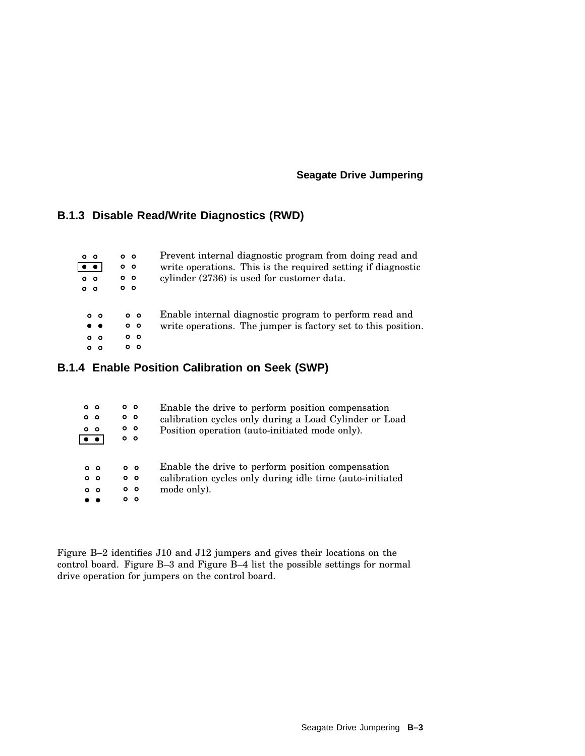#### **B.1.3 Disable Read/Write Diagnostics (RWD)**

| 0 <sub>o</sub><br>$\bullet$ $\bullet$<br>0 <sub>o</sub><br>0 <sub>o</sub>  | 0 <sub>o</sub><br>0 <sub>o</sub><br>0 <sub>o</sub><br>0 <sub>o</sub> | Prevent internal diagnostic program from doing read and<br>write operations. This is the required setting if diagnostic<br>cylinder (2736) is used for customer data. |
|----------------------------------------------------------------------------|----------------------------------------------------------------------|-----------------------------------------------------------------------------------------------------------------------------------------------------------------------|
| 0 <sub>o</sub><br>$\bullet\quadbullet$<br>0 <sub>o</sub><br>0 <sub>o</sub> | 0 <sub>o</sub><br>0 <sub>o</sub><br>0 <sub>o</sub><br>o o            | Enable internal diagnostic program to perform read and<br>write operations. The jumper is factory set to this position.                                               |

#### **B.1.4 Enable Position Calibration on Seek (SWP)**

| $\bullet$ $\bullet$ | 0 <sub>o</sub><br>0 <sub>o</sub><br>0 <sub>o</sub> | $^{\circ}$<br>0 <sub>o</sub><br>$\circ$ $\circ$<br>0 <sub>o</sub>     | Enable the drive to perform position compensation<br>calibration cycles only during a Load Cylinder or Load<br>Position operation (auto-initiated mode only). |
|---------------------|----------------------------------------------------|-----------------------------------------------------------------------|---------------------------------------------------------------------------------------------------------------------------------------------------------------|
|                     | 0 <sub>o</sub><br>0 <sub>o</sub><br>0 <sub>o</sub> | 0 <sub>o</sub><br>0 <sub>o</sub><br>0 <sub>o</sub><br>$\circ$ $\circ$ | Enable the drive to perform position compensation<br>calibration cycles only during idle time (auto-initiated<br>mode only).                                  |

Figure B–2 identifies J10 and J12 jumpers and gives their locations on the control board. Figure B–3 and Figure B–4 list the possible settings for normal drive operation for jumpers on the control board.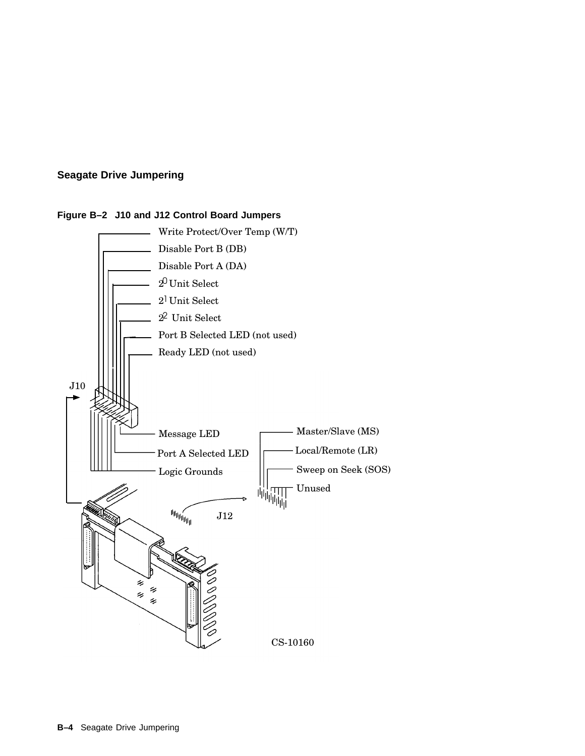

#### **Figure B–2 J10 and J12 Control Board Jumpers**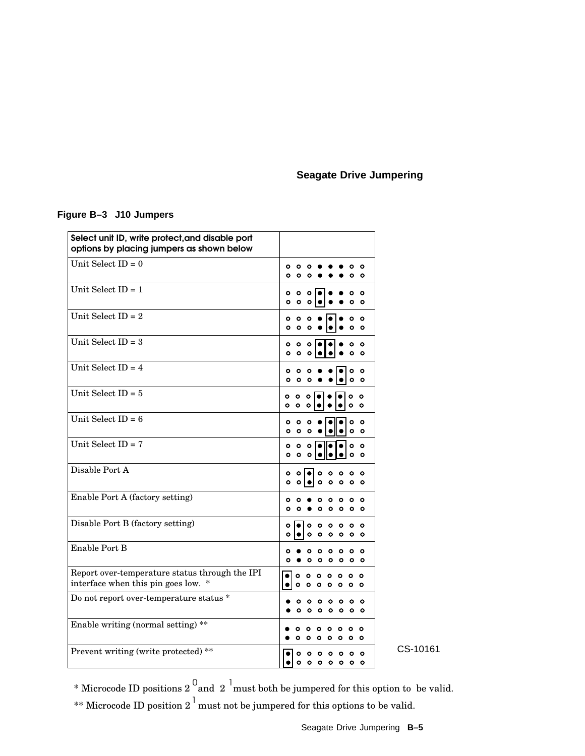#### **Figure B–3 J10 Jumpers**

| Select unit ID, write protect, and disable port<br>options by placing jumpers as shown below |                                                                                                                              |
|----------------------------------------------------------------------------------------------|------------------------------------------------------------------------------------------------------------------------------|
| Unit Select $ID = 0$                                                                         | ٥<br>٥<br>$\circ$<br>ິ<br>ი<br>۰<br>$\circ$<br>٥<br>٥<br>ο                                                                   |
| Unit Select $ID = 1$                                                                         | ۰<br>۰<br>$\circ$<br>٥<br>$\circ$<br>$\circ$<br>۰<br>o<br>٥                                                                  |
| Unit Select ID = $2$                                                                         | ۰<br>$\circ$<br>൦<br>$\bullet$<br>$\mathbf{o}$<br>$\bullet$<br>$\circ$                                                       |
| Unit Select $ID = 3$                                                                         | $\circ$<br>$\circ$<br>۰<br>$\circ$<br>۰<br>$\circ$<br> 0 <br>۰                                                               |
| Unit Select $ID = 4$                                                                         | $\circ$<br>$\circ$<br>$\circ$<br>۰<br>$\circ$<br>$\mathbf{o}$<br>$\circ$<br>$\circ$<br>o                                     |
| Unit Select $ID = 5$                                                                         | ۰<br>۰<br>$\circ$<br>۰<br>$\circ$<br>$\circ$<br>$\circ$<br>$\circ$<br>$\circ$                                                |
| Unit Select $ID = 6$                                                                         | ۰<br>۰<br>۰<br>۰<br>$\circ$<br>$\circ$<br>$\mathbf{o}$<br>$\circ$<br>۰                                                       |
| Unit Select ID = $7$                                                                         | $\circ$<br>۰<br>$\circ$ $\circ$<br>o<br>0 <sub>o</sub><br>o<br>$\bullet$<br>$\circ$                                          |
| Disable Port A                                                                               | ۰<br>$\circ$<br>۰<br>۰<br>۰<br>۰<br>۰<br>$\circ$<br>$\circ$<br>$\circ$<br>$\circ$<br>۰<br>۰<br>۰                             |
| Enable Port A (factory setting)                                                              | ٥<br>٥<br>O<br>$\circ$<br>Ω<br>O<br>$\circ$<br>$\circ$<br>$\circ$<br>$\circ$ $\circ$<br>O                                    |
| Disable Port B (factory setting)                                                             | $\circ$<br>$\circ$<br>$\circ$<br>ം<br>۰<br>۰<br>$\circ$<br>۰<br>٥<br>۰<br>۰<br>۰<br>۰<br>$\circ$                             |
| Enable Port B                                                                                | ۰<br>$\circ$<br>$\circ$<br>۰<br>$\circ$<br>൦<br>о<br>O<br>۰<br>۰<br>$\circ$ $\circ$<br>ം പ                                   |
| Report over-temperature status through the IPI<br>interface when this pin goes low.<br>∗     | $\circ$<br>٥<br>$\circ$<br>$\circ$<br>$\circ$<br>$\circ$<br>ο<br>۰<br>۰<br>ം<br>۰<br>٥<br>۰<br>$\circ$                       |
| Do not report over-temperature status *                                                      | ٥<br>٥<br>٥<br>٥<br>$\circ$<br>$\circ$<br>۰<br>$\circ$<br>$\circ$<br>$\circ$<br>$\circ$<br>$\circ$                           |
| Enable writing (normal setting) **                                                           | ۰<br>$\circ$<br>$\circ$<br>ം<br>ົ<br>$\circ$<br>۰<br>$\circ$                                                                 |
| Prevent writing (write protected) **                                                         | ۰<br>$\circ$<br>۰<br>$\circ$<br>۰<br>۰<br>۰<br>$\circ$<br>$\bullet$<br>$\circ$<br>$\circ$<br>$\circ$<br>$\bullet$<br>$\circ$ |

CS-10161

\* Microcode ID positions 2  $\frac{0}{2}$  and 2  $\frac{1}{2}$  must both be jumpered for this option to be valid. \*\* Microcode ID position 2  $^{\dagger}$  must not be jumpered for this options to be valid.

Seagate Drive Jumpering **B–5**